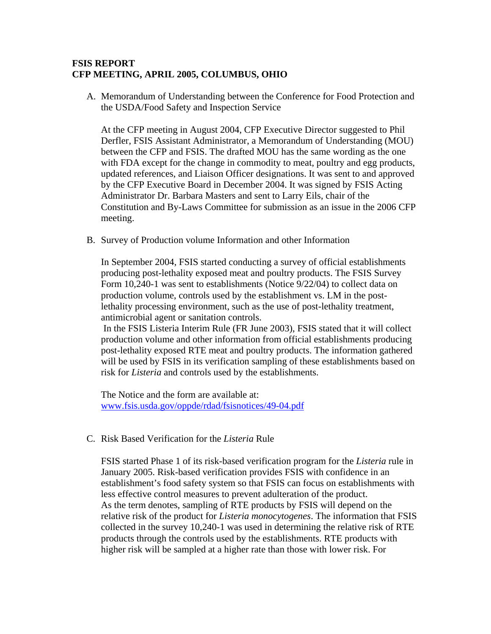## **FSIS REPORT CFP MEETING, APRIL 2005, COLUMBUS, OHIO**

A. Memorandum of Understanding between the Conference for Food Protection and the USDA/Food Safety and Inspection Service

At the CFP meeting in August 2004, CFP Executive Director suggested to Phil Derfler, FSIS Assistant Administrator, a Memorandum of Understanding (MOU) between the CFP and FSIS. The drafted MOU has the same wording as the one with FDA except for the change in commodity to meat, poultry and egg products, updated references, and Liaison Officer designations. It was sent to and approved by the CFP Executive Board in December 2004. It was signed by FSIS Acting Administrator Dr. Barbara Masters and sent to Larry Eils, chair of the Constitution and By-Laws Committee for submission as an issue in the 2006 CFP meeting.

B. Survey of Production volume Information and other Information

In September 2004, FSIS started conducting a survey of official establishments producing post-lethality exposed meat and poultry products. The FSIS Survey Form 10,240-1 was sent to establishments (Notice 9/22/04) to collect data on production volume, controls used by the establishment vs. LM in the postlethality processing environment, such as the use of post-lethality treatment, antimicrobial agent or sanitation controls.

 In the FSIS Listeria Interim Rule (FR June 2003), FSIS stated that it will collect production volume and other information from official establishments producing post-lethality exposed RTE meat and poultry products. The information gathered will be used by FSIS in its verification sampling of these establishments based on risk for *Listeria* and controls used by the establishments.

The Notice and the form are available at: www.fsis.usda.gov/oppde/rdad/fsisnotices/49-04.pdf

C. Risk Based Verification for the *Listeria* Rule

FSIS started Phase 1 of its risk-based verification program for the *Listeria* rule in January 2005. Risk-based verification provides FSIS with confidence in an establishment's food safety system so that FSIS can focus on establishments with less effective control measures to prevent adulteration of the product. As the term denotes, sampling of RTE products by FSIS will depend on the relative risk of the product for *Listeria monocytogenes*. The information that FSIS collected in the survey 10,240-1 was used in determining the relative risk of RTE products through the controls used by the establishments. RTE products with higher risk will be sampled at a higher rate than those with lower risk. For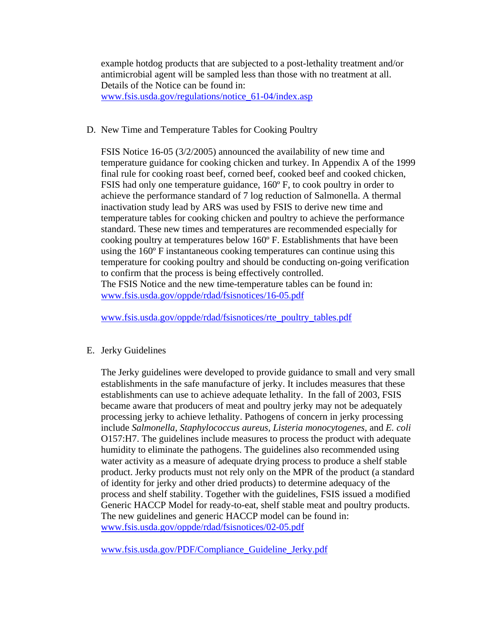example hotdog products that are subjected to a post-lethality treatment and/or antimicrobial agent will be sampled less than those with no treatment at all. Details of the Notice can be found in: www.fsis.usda.gov/regulations/notice\_61-04/index.asp

## D. New Time and Temperature Tables for Cooking Poultry

FSIS Notice 16-05 (3/2/2005) announced the availability of new time and temperature guidance for cooking chicken and turkey. In Appendix A of the 1999 final rule for cooking roast beef, corned beef, cooked beef and cooked chicken, FSIS had only one temperature guidance, 160º F, to cook poultry in order to achieve the performance standard of 7 log reduction of Salmonella. A thermal inactivation study lead by ARS was used by FSIS to derive new time and temperature tables for cooking chicken and poultry to achieve the performance standard. These new times and temperatures are recommended especially for cooking poultry at temperatures below 160º F. Establishments that have been using the 160º F instantaneous cooking temperatures can continue using this temperature for cooking poultry and should be conducting on-going verification to confirm that the process is being effectively controlled. The FSIS Notice and the new time-temperature tables can be found in:

www.fsis.usda.gov/oppde/rdad/fsisnotices/16-05.pdf

www.fsis.usda.gov/oppde/rdad/fsisnotices/rte\_poultry\_tables.pdf

## E. Jerky Guidelines

The Jerky guidelines were developed to provide guidance to small and very small establishments in the safe manufacture of jerky. It includes measures that these establishments can use to achieve adequate lethality. In the fall of 2003, FSIS became aware that producers of meat and poultry jerky may not be adequately processing jerky to achieve lethality. Pathogens of concern in jerky processing include *Salmonella, Staphylococcus aureus, Listeria monocytogenes,* and *E. coli*  O157:H7. The guidelines include measures to process the product with adequate humidity to eliminate the pathogens. The guidelines also recommended using water activity as a measure of adequate drying process to produce a shelf stable product. Jerky products must not rely only on the MPR of the product (a standard of identity for jerky and other dried products) to determine adequacy of the process and shelf stability. Together with the guidelines, FSIS issued a modified Generic HACCP Model for ready-to-eat, shelf stable meat and poultry products. The new guidelines and generic HACCP model can be found in: www.fsis.usda.gov/oppde/rdad/fsisnotices/02-05.pdf

www.fsis.usda.gov/PDF/Compliance\_Guideline\_Jerky.pdf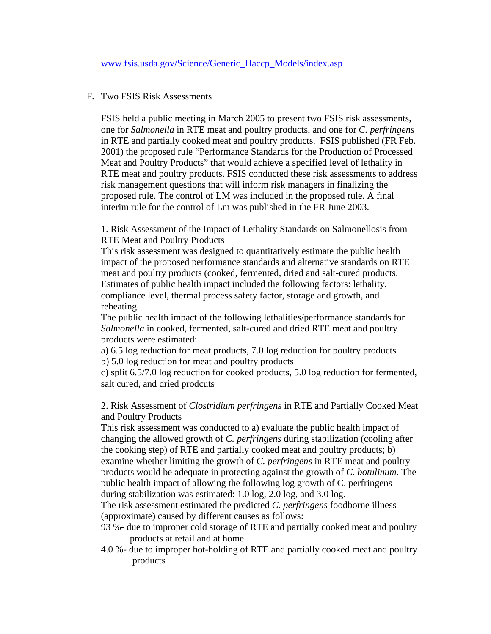## F. Two FSIS Risk Assessments

FSIS held a public meeting in March 2005 to present two FSIS risk assessments, one for *Salmonella* in RTE meat and poultry products, and one for *C. perfringens* in RTE and partially cooked meat and poultry products. FSIS published (FR Feb. 2001) the proposed rule "Performance Standards for the Production of Processed Meat and Poultry Products" that would achieve a specified level of lethality in RTE meat and poultry products. FSIS conducted these risk assessments to address risk management questions that will inform risk managers in finalizing the proposed rule. The control of LM was included in the proposed rule. A final interim rule for the control of Lm was published in the FR June 2003.

1. Risk Assessment of the Impact of Lethality Standards on Salmonellosis from RTE Meat and Poultry Products

This risk assessment was designed to quantitatively estimate the public health impact of the proposed performance standards and alternative standards on RTE meat and poultry products (cooked, fermented, dried and salt-cured products. Estimates of public health impact included the following factors: lethality, compliance level, thermal process safety factor, storage and growth, and reheating.

The public health impact of the following lethalities/performance standards for *Salmonella* in cooked, fermented, salt-cured and dried RTE meat and poultry products were estimated:

a) 6.5 log reduction for meat products, 7.0 log reduction for poultry products b) 5.0 log reduction for meat and poultry products

c) split 6.5/7.0 log reduction for cooked products, 5.0 log reduction for fermented, salt cured, and dried prodcuts

2. Risk Assessment of *Clostridium perfringens* in RTE and Partially Cooked Meat and Poultry Products

This risk assessment was conducted to a) evaluate the public health impact of changing the allowed growth of *C. perfringens* during stabilization (cooling after the cooking step) of RTE and partially cooked meat and poultry products; b) examine whether limiting the growth of *C. perfringens* in RTE meat and poultry products would be adequate in protecting against the growth of *C. botulinum*. The public health impact of allowing the following log growth of C. perfringens during stabilization was estimated: 1.0 log, 2.0 log, and 3.0 log.

The risk assessment estimated the predicted *C. perfringens* foodborne illness (approximate) caused by different causes as follows:

- 93 %- due to improper cold storage of RTE and partially cooked meat and poultry products at retail and at home
- 4.0 %- due to improper hot-holding of RTE and partially cooked meat and poultry products